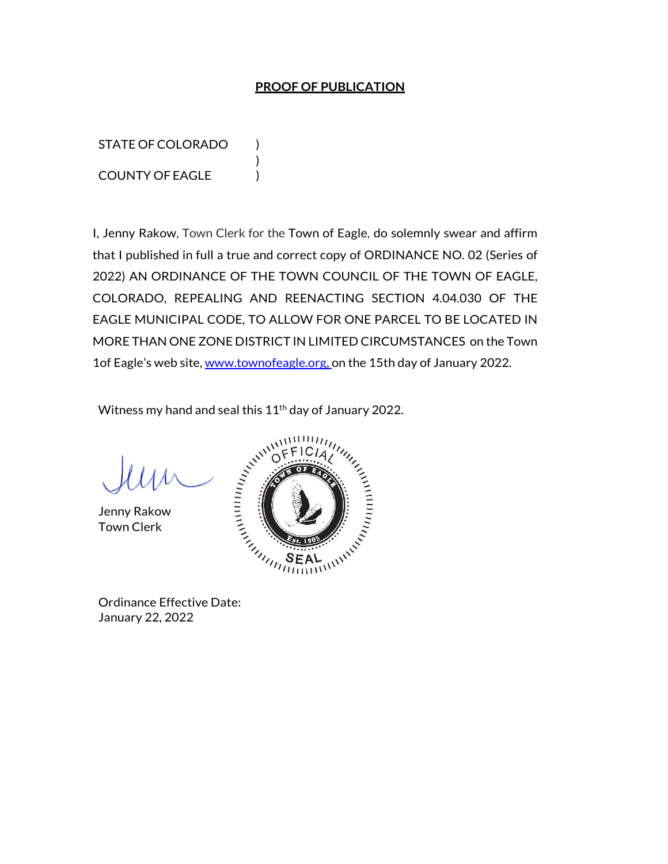## **PROOF OF PUBLICATION**

STATE OF COLORADO ) COUNTY OF EAGLE )

I, Jenny Rakow, Town Clerk for the Town of Eagle, do solemnly swear and affirm that I published in full a true and correct copy of ORDINANCE NO. 02 (Series of 2022) AN ORDINANCE OF THE TOWN COUNCIL OF THE TOWN OF EAGLE, COLORADO, REPEALING AND REENACTING SECTION 4.04.030 OF THE EAGLE MUNICIPAL CODE, TO ALLOW FOR ONE PARCEL TO BE LOCATED IN MORE THAN ONE ZONE DISTRICT IN LIMITED CIRCUMSTANCES on the Town 1of Eagle's web site, www.townofeagle.org, on the 15th day of January 2022.

Witness my hand and seal this 11<sup>th</sup> day of January 2022.

)

Jenny Rakow Town Clerk



January 22, 2022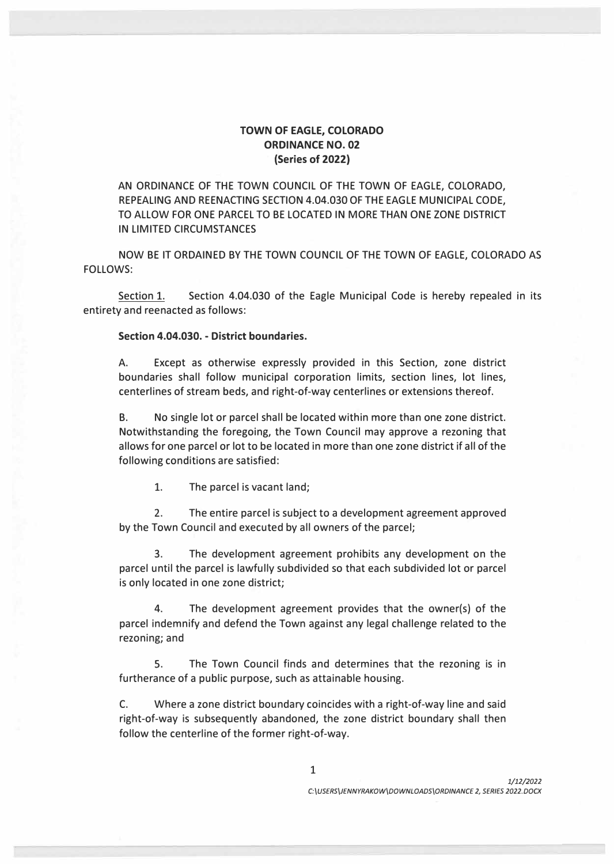## **TOWN OF EAGLE, COLORADO ORDINANCE NO. 02 (Series of 2022)**

AN ORDINANCE OF THE TOWN COUNCIL OF THE TOWN OF EAGLE, COLORADO, REPEALING AND REENACTING SECTION 4.04.030 OF THE EAGLE MUNICIPAL CODE, TO ALLOW FOR ONE PARCEL TO BE LOCATED IN MORE THAN ONE ZONE DISTRICT IN LIMITED CIRCUMSTANCES

NOW BE IT ORDAINED BY THE TOWN COUNCIL OF THE TOWN OF EAGLE, COLORADO AS FOLLOWS:

Section 1. Section 4.04.030 of the Eagle Municipal Code is hereby repealed in its entirety and reenacted as follows:

## **Section 4.04.030. - District boundaries.**

A. Except as otherwise expressly provided in this Section, zone district boundaries shall follow municipal corporation limits, section lines, lot lines, centerlines of stream beds, and right-of-way centerlines or extensions thereof.

B. No single lot or parcel shall be located within more than one zone district. Notwithstanding the foregoing, the Town Council may approve a rezoning that allows for one parcel or lot to be located in more than one zone district if all of the following conditions are satisfied:

1. The parcel is vacant land;

2. The entire parcel is subject to a development agreement approved by the Town Council and executed by all owners of the parcel;

3. The development agreement prohibits any development on the parcel until the parcel is lawfully subdivided so that each subdivided lot or parcel is only located in one zone district;

4. The development agreement provides that the owner(s) of the parcel indemnify and defend the Town against any legal challenge related to the rezoning; and

5. The Town Council finds and determines that the rezoning is in furtherance of a public purpose, such as attainable housing.

C. Where a zone district boundary coincides with a right-of-way line and said right-of-way is subsequently abandoned, the zone district boundary shall then follow the centerline of the former right-of-way.